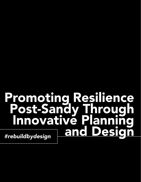# Promoting Resilience<br>Post-Sandy Through Post-Sandy Through novative Pla<br>and D

*#rebuildbydesign*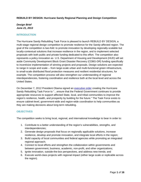# **REBUILD BY DESIGN: Hurricane Sandy Regional Planning and Design Competition**

# *Design Brief June 21, 2013*

## **INTRODUCTION**

The Hurricane Sandy Rebuilding Task Force is pleased to launch REBUILD BY DESIGN, a multi-stage regional design competition to promote resilience for the Sandy-affected region. The goal of the competition is two-fold: to promote innovation by developing regionally-scalable but locally-contextual solutions that increase resilience in the region, and to implement selected proposals with both public and private funding dedicated to this effort. The competition also represents a policy innovation as U.S. Department of Housing and Development (HUD) will set aside Community Development Block Grant Disaster Recovery (CDBG-DR) funding specifically to incentivize implementation of winning projects and proposals. Design solutions are expected to range in scope and scale -- from large-scale urban and multi-functional green infrastructure, to small-scale distributed flood protection measures and resilient residential structures, for example. The competition process will also strengthen our understanding of regional interdependencies, fostering coordination and resilience both at the local level and across the United States.

On December 7, 2012 President Obama signed an [executive order](http://www.whitehouse.gov/the-press-office/2012/12/07/executive-order-establishing-hurricane-sandy-rebuilding-task-force) creating the Hurricane Sandy Rebuilding Task Force to "…ensure that the Federal Government continues to provide appropriate resources to support affected State, local, and tribal communities to improve the region's resilience, health, and prosperity by building for the future." The Task Force exists to ensure cabinet-level, government-wide and region-wide coordination to help communities as they are making decisions about long-term rebuilding.

## **OBJECTIVES**

The competition seeks to bring local, regional, and international knowledge to bear in order to:

- 1. Contribute to a better understanding of the region's vulnerabilities, strengths, and interdependencies;
- 2. Generate design proposals that focus on regionally applicable solutions, increase resilience, develop and promote innovation, and integrate local efforts in the region;
- 3. Build capacity of local communities and federal agencies while promoting an integrated regional approach;
- 4. Connect to local efforts and strengthen the collaboration within governments and between government, business, academic, non-profit, and other organizations;
- 5. Ignite innovation, outside-the-box perspectives, and address new trends; and
- 6. Execute world-class projects with regional impact (either large scale or replicable across the region).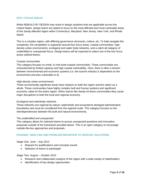## **SITE / FOCUS AREAS**

While REBUILD BY DESIGN may result in design solutions that are applicable across the United States, design teams are asked to focus on the most-affected and most-vulnerable areas of the Sandy-affected region within Connecticut, Maryland, New Jersey, New York, and Rhode Island.

This is a complex region, with differing governance structures, culture, etc. To help navigate this complexity, the competition is organized around four focus areas: coastal communities, highdensity urban environments, ecological and water body networks, and a catch-all category of unidentified or unexpected focus. Design teams will be expected to select one of the four focus areas outlined below:

#### *Coastal communities*

This category focuses on small- to mid-sized coastal communities. These communities are characterized by limited capacity and high coastal vulnerability. Here, there is often a tension between environmental and economic systems (i.e. the tourism industry is dependent on the environment and also vulnerable to it).

#### *High-density urban environments*

These economically-significant areas have impacts on both the region and the nation as a whole. These communities have highly complex built and human systems and significant economic value for the entire region. When storms like Sandy hit these communities they cause major disruptions to both the local and regional economy.

## *Ecological and waterbody networks*

These networks are regional by nature; watersheds and ecosystems disregard administrative boundaries and must be considered from the regional scale. This category focuses on the interdependencies between the built and natural environments.

#### *The unidentified and unexpected*

This category allows for selected teams to pursue unexpected questions and innovative proposals outside of the framework provided above. This is an open category to encourage outside-the-box approaches and proposals.

## **PHASING: ANALYSIS AND PROBLEM DEFINITION TO SPECIFIC SOLUTIONS**

#### *Stage One: June – July 2013*

- Request for qualifications and concepts issued
- Selection of teams to participate

#### *Stage Two: August – October 2013*

- Research and collaborative analysis of the region with a wide-variety of stakeholders
- Identification of key design opportunities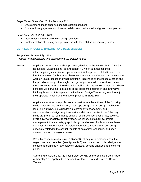*Stage Three: November 2013 – February 2014*

- Development of site-specific schematic design solutions
- Community engagement and intense collaboration with state/local government partners

#### *Stage Four: March 2014 – TBD*

- Design development of winning design solutions
- Implementation of winning design solutions with federal disaster recovery funds

## **DETAILED PROCESS, TIMELINE, AND DELIVERABLES**

#### **Stage One: June – July 2013**

*Request for qualifications and selection of 5-10 Design Teams*

*Process*: Applicants must submit a short proposal, detailed in the REBUILD BY DESIGN Request for Qualifications (see Appendix A), which summarizes their interdisciplinary expertise and presents an initial approach related to one of the four focus areas. Applicants will have to submit both an idea on how they want to work on this (process) and what their initial thinking is on the issues at stake and the possible concepts that might emerge. Applicants will be asked to illustrate these concepts in regard to what vulnerabilities their team would focus on. These concepts will serve as illustrations of the applicant's approach and innovative thinking; however, it is expected that selected Design Teams may need to adjust their approach based on the analysis process in Stage Two.

> Applicants must include professional expertise in at least three of the following fields: infrastructure engineering, landscape design, urban design, architecture, land-use planning, industrial design, community engagement, and communications design. Applicants with additional expertise in the following fields are preferred: community building, social science, economics, ecology, hydrology, water safety, transportation, resilience, sustainability, projectmanagement, finance, arts, graphic design, and others. Applicants must have demonstrable experience in interdisciplinary research, analysis, and design – especially related to the spatial impacts of ecological, economic, and social development on the regional scale.

While by no means exhaustive, a Starter Kit of helpful information about the region has been compiled (see Appendix B) and is attached to this design brief. It contains a preliminary list of relevant datasets, general analyses, and existing plans.

At the end of Stage One, the Task Force, serving as the Selection Committee, will identify 5-10 applicants to proceed to Stages Two and Three as Design Teams.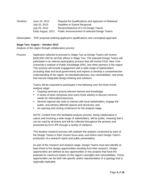| Timeline: | June 19, 2013      | Request for Qualifications and Approach is Released |
|-----------|--------------------|-----------------------------------------------------|
|           | July 20, 2013      | Deadline to Submit Response                         |
|           | July 25, 2013      | Review/Selection of 5-10 Design Teams               |
|           | Early August, 2013 | Public Announcement of selected Design Teams        |

*Deliverables*: PDF proposal outlining applicant's qualifications and conceptual approach.

#### **Stage Two: August – October 2013**

*Analysis of the region through collaborative process*

*Process*: Applicants selected to proceed to Stage Two as Design Teams will receive \$100,000 USD for all their efforts in Stage Two. The selected Design Teams will participate in an intense participatory process that will involve HUD, New York University's Institute of Public Knowledge (IPK), and other partners in the region. This process will include engagement with a wide-range of stakeholders (including state and local government) and experts to develop a comprehensive understanding of the region, its interdependencies, key vulnerabilities, and areas that warrant integrated design thinking and solutions.

> Teams will be expected to participate in the following over the three-month analysis stage:

- Ongoing seminars around relevant themes and knowledge;
- A series of team symposia (one every three weeks) to discuss common needs for information/resources;
- Several regional site visits to interact with local stakeholders, engage the public, and witness affected spaces and structures; and
- An opening and closing conference for the analysis stage.

NOTE: Content from this facilitated analysis process, being collaborative in nature and involving a wide-range of stakeholders, will be public, meaning that it can be used by all teams and will be collected throughout the process and presented by NYU IPK through a variety of mediums.

This iterative research process will underpin the analysis conducted by each of the Design Teams in their chosen focus area, and inform each Design Team's production of a research report and public presentation.

As part of the research and analysis stage, Design Teams must also identify at least three to five design opportunities resulting from their research. Design opportunities are defined as key opportunities or key projects that have the potential for maximum impact on the region's strengths and vulnerabilities. These opportunities can be both site-specific and/or representative of a typology that is regionally replicable.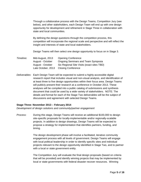Through a collaborative process with the Design Teams, Competition Jury (see below), and other stakeholders, each Design Team will end up with one design opportunity for development and refinement in Stage Three in collaboration with state and local communities.

By defining the design questions through the competition process, this competition will incorporate the regional scale and perspective and will reflect the insight and interests of state and local stakeholders.

Design Teams will then select one design opportunity to focus on in Stage 3.

| Timeline: | Mid-August, 2013   | <b>Opening Conference</b>                  |
|-----------|--------------------|--------------------------------------------|
|           | August - October   | Ongoing Seminars and Team Symposia         |
|           | August - October   | Six Regional Site Visits (exact sites TBD) |
|           | Late October, 2013 | <b>Closing Conference</b>                  |

*Deliverables*: Each Design Team will be expected to submit a highly-accessible digital research report that includes visual and non-visual analysis, and identification of at least three to five design opportunities within their focus area. Design Teams will publicly present their research at a conference in October 2013. These analyses will be compiled into a public catalog of submissions and synthesis document that could be used by a wide variety of stakeholders. NOTE: The details and format for each of the Stage Two deliverables will be the subject of discussions and agreement with selected Design Teams.

## **Stage Three: November 2013 – February 2014**

*Development of design solutions and community/partner engagement*

*Process*: During this stage, Design Teams will receive an additional \$100,000 to design site-specific proposals for locally-implementable and/or regionally-scalable projects. In addition to design drawings, Design Teams will be expected to propose a strategy for implementation that identifies partners, funding, and timing.

> The design development phase will involve a facilitated, iterative community engagement process with all levels of government. Design Teams will engage with local political leadership in order to identify specific sites and individual projects relevant to the design opportunity identified in Stage Two, and to partner with a local or state government entity.

The Competition Jury will evaluate the final design proposals (based on criteria that will be provided) and identify winning projects that may be implemented by local or state governments with federal disaster recover resources. Winning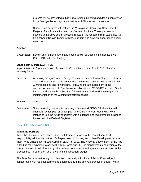projects will be presented publicly at a regional planning and design conference in the Sandy-affected region, as well as at TBD international venues.

Stage Three partners will include the Municipal Art Society of New York, the Regional Plan Association, and the Van Alen Institute. These partners will develop an iterative design process, rooted in the research from Stage Two, to help connect Design Teams with key partners and develop place-based design solutions.

*Timeline:* TBD

*Deliverables:* Design and refinement of place-based design solutions implementable with CDBG-DR and other funding.

#### **Stage Four: March 2014 – TBD**

*Implementation of winning designs by state and/or local governments with federal disaster recovery funds*

- *Process:* A winning Design Team or Design Teams will proceed from Stage 3 to Stage 4 and work closely with state and/or local government entities to implement their winning designs and key projects. Following the announcement of the competition winners, HUD will make an allocation of CDBG-DR funds for Sandy impacts and identify how the use of these funds will align with leveraging the implementation of the winning projects/proposals.
- *Timeline:* Spring 2014
- *Deliverables:* State or local governments receiving a final round CDBG-DR allocation will submit an action plan or action plan amendment to HUD identifying how it intends to use the funds consistent with guidelines and requirements published by Notice in the Federal Register.

## **COMPETITION LEADERSHIP**

#### **Managing Partners**

While the Hurricane Sandy Rebuilding Task Force is launching the competition, lead responsibility will transfer to the U.S. Department of Housing and Urban Development as the Task Force winds down in Late Summer/Early Fall 2013. The National Endowment for the Arts is lending their expertise to advise the Task Force and HUD in management and design of the overall process. In addition, many other federal departments and agencies are involved in the process both through the Task Force and in subsequent stages.

The Task Force is partnering with New York University's Institute of Public Knowledge, in collaboration with regional partners, to design and run the analysis process in Stage Two. In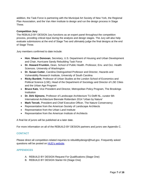addition, the Task Force is partnering with the Municipal Art Society of New York, the Regional Plan Association, and the Van Alen Institute to design and run the design process in Stage Three.

# **Competition Jury**

The REBUILD BY DESIGN Jury functions as an expert panel throughout the competition process, providing critical input during the analysis and design stages. The Jury will also help evaluate submissions at the end of Stage Two and ultimately judge the final designs at the end of Stage Three.

Jury members confirmed to date include:

- **Hon. Shaun Donovan**, Secretary, U.S. Department of Housing and Urban Development and Chair, Hurricane Sandy Rebuilding Task Force
- **Dr. Howard Frumkin**, Dean, School of Public Health. Professor, Env. and Occ. Health Sciences. University of Washington
- **Dr. Susan Cutter**, Carolina Distinguished Professor and Director, Hazards and Vulnerability Research Institute, University of South Carolina
- **Ricky Burdett**, Professor of Urban Studies at the London School of Economics and Political Science (LSE), Head of the Department of Sociology and Director of LSE Cities and the Urban Age Program
- **Bruce Katz**, Vice President and Director, Metropolitan Policy Program, The Brookings **Institution**
- **Dr. Dirk Sijmons**, Professor of Landscape Architecture TU-Delft NL, curator 6th International Architecture Biennale Rotterdam 2014 'Urban by Nature'
- **Mark Tercek**, President and Chief Executive Officer, The Nature Conservancy
- Representative from the American Society of Landscape Architects
- Representative from the Urban Land Institute
- Representative from the American Institute of Architects

A final list of jurors will be published at a later date.

For more information on all of the REBUILD BY DESIGN partners and jurors see Appendix C.

## **CONTACT**

Please direct all competition-related inquiries to rebuildbydesign@hud.gov. Frequently asked questions will be posted on **[HUD's website](http://portal.hud.gov/hudportal/HUD?src=/sandyrebuilding/rebuildbydesign)**.

## **APPENDICES**

- A. REBUILD BY DESIGN Request For Qualifications (Stage One)
- B. REBUILD BY DESIGN Starter Kit (Stage One)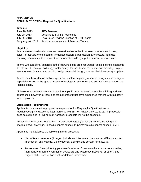# **APPENDIX A: REBUILD BY DESIGN Request for Qualifications**

# **Timeline**

| June 20, 2013      | <b>RFQ Released</b>                       |
|--------------------|-------------------------------------------|
| July 20, 2013      | Deadline to Submit Responses              |
| July 25, 2013      | Task Force Review/Selection of 5-10 Teams |
| Early August, 2013 | Public Announcement of Selected Teams     |

# **Eligibility**

Teams are required to demonstrate professional expertise in at least three of the following fields: infrastructure engineering, landscape design, urban design, architecture, land use planning, community development, communications design, public finance, or real estate.

Teams with additional expertise in the following fields are encouraged: social-science, economic development, ecology, hydrology, water safety, transportation, resilience, sustainability, projectmanagement, finance, arts, graphic design, industrial design, or other disciplines as appropriate.

Teams must have demonstrable experience in interdisciplinary research, analysis, and design – especially related to the spatial impacts of ecological, economic, and social development on the regional scale.

All levels of experience are encouraged to apply in order to attract innovative thinking and new approaches, however, at least one team member must have experience working with publicallyfunded projects.

# **Submission Requirements**

Applicants must submit a proposal in response to this Request for Qualifications to rebuildbydesign@hud.gov no later than 5:00 PM EDT on Friday, July 19, 2013. All proposals must be submitted in PDF format; hardcopy proposals will not be accepted.

Proposals should be no longer than 12 one-sided pages (format US Letter), including text, images, and/or drawings. Font size cannot exceed 11 points; file size cannot exceed 20MB.

Applicants must address the following in their proposals.

- **List of team members (1 page):** Include each team member's name, affiliation, contact information, and website. Clearly identify a single lead contact for follow up.
- **Focus area:** Clearly identify your team's selected focus area (i.e. coastal communities, high-density urban environments, ecological and waterbody networks, or other). See Page 1 of the Competition Brief for detailed information.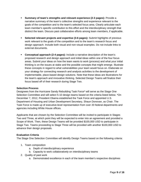- **Summary of team's strengths and relevant experience (2-3 pages):** Provide a narrative summary of the team's collective strengths and experience relevant to the goals of the competition and to the team's selected focus area. Clearly articulate each team member's specific contribution to this effort and the interdisciplinary strength that distinct the team. Discuss past collaborative efforts among team members, if applicable.
- **Selected relevant projects and expertise (3-6 pages):** Submit highlights of previous work relevant to the goals of the competition and to the team's research focus and design approach. Include both visual and non-visual examples. Do not include links to external documents.
- **Conceptual approach (2-4 pages):** Include a narrative description of the team's proposed research and design approach and initial ideas within one of the four focus areas. Submit your ideas on how the team wants to work (process) and what your initial thinking is on the issues at stake and the possible concepts that might emerge. Illustrate these concepts in regard to what vulnerabilities your team would focus on. Elaborate on your strategy for connecting research and analysis activities to the development of implementable, place-based design solutions. Note that these ideas are illustrations for the team's approach and innovative thinking. Selected Design Teams will finalize their focus based off of their research during Stage Two.

## **Selection Process**

Designees from the Hurricane Sandy Rebuilding Task Force\* will serve as the Stage One Selection Committee and will select 5-10 design teams based on the criteria listed below. \*On December 7, 2012, President Obama established the Task Force and appointed U.S. Department of Housing and Urban Development Secretary, Shaun Donovan, as Chair. The Task Force is made up of executive-level representation from over 20 federal departments and agencies including White House offices.

Applicants that are chosen by the Selection Committee will be invited to participate in Stages Two and Three, at which point they will be expected to enter into an agreement and provided a Scope of Work. Then, these Design Teams will be provided \$100,000 USD to participate in Stage Two. Teams proceeding to Stage Three will be provided with another \$100,000 USD to advance their design proposals.

## **Evaluation Criteria**

The Stage One Selection Committee will identify Design Teams based on the following criteria:

- 1. Team composition
	- a. Depth of interdisciplinary experience
	- b. Capacity to work collaboratively on interdisciplinary teams
- 2. Quality of past work
	- a. Demonstrated excellence in each of the team member's respective disciplines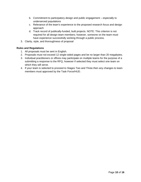- b. Commitment to participatory design and public engagement especially to underserved populations
- c. Relevance of the team's experience to the proposed research focus and design approach
- d. Track record of publically-funded, built projects. NOTE: This criterion is not required for all design team members; however, someone on the team must have experience successfully working through a public process.
- 3. Clarity, style, and thoroughness of proposal

# **Rules and Regulations**

- 1. All proposals must be sent in English.
- 2. Proposals must not exceed 12 single-sided pages and be no larger than 20 megabytes.
- 3. Individual practitioners or offices may participate on multiple teams for the purpose of a submitting a response to the RFQ, however if selected they must select one team on which they will serve.
- 4. If your team is selected to proceed to Stages Two and Three then any changes to team members must approved by the Task Force/HUD.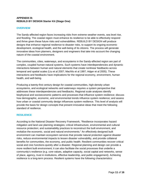# **APPENDIX B: REBUILD BY DESIGN Starter Kit (Stage One)**

# **OVERVIEW**

The Sandy-affected region faces increasing risks from extreme weather events, sea level rise, and flooding. The coastal region must enhance its resilience to be able to effectively respond and thrive given these future risks and vulnerabilities. REBUILD BY DESIGN will produce designs that enhance regional resilience to disaster risks, to support its ongoing economic development, ecological health, and the well-being of its citizens. The process will generate innovative ideas from planners, designers and engineers that take into account the changing nature of the coastal environment.

The communities, cities, waterways, and ecosystems in the Sandy-affected region are part of complex, coupled human-natural systems. Such systems have interdependencies and dynamic interactions between human and natural elements that create nonlinear feedbacks across temporal and spatial scales (Liu et al 2007; Machlis et al 1997; Adger et al 2005). These interactions and feedbacks have implications for the regional economy, environment, human health, and well-being.

Producing a twenty-first century design for coastal communities, high-density urban ecosystems, and ecological networks and waterways requires a system perspective that addresses these interdependencies and feedbacks. Regional scale analyses identify biophysical and socioeconomic patterns and processes that influence system resilience; discuss how demographic, economic, and environmental trends influence system resilience; and assess how urban or coastal community design influences system resilience. This level of analysis will provide the basis for design concepts that present innovative ideas that meet the following standard of resilience.

# **RESILIENCE**

According to the National Disaster Recovery Framework, "Resilience incorporates hazard mitigation and land use planning strategies; critical infrastructure, environmental and cultural resource protection; and sustainability practices to reconstruct the built environment, and revitalize the economic, social and natural environments." An effectively designed built environment can maintain ecosystem services that provide natural protection against disaster risks, reduce environmental impacts to lessen disaster vulnerability, and provide collateral benefits for communities, the economy, and public health. Resilient communities recover critical social and civic functions quickly after a disaster. Regional planning and design can provide a more resilient built environment; it can also facilitate the social processes that underlie a community's resilience (e.g. core values, adaptive capacity, social capital and networks, sense of place, agency, trust in institutions, effective leadership, and public engagement). Achieving resilience is a long-term process. Resilient systems have the following characteristics: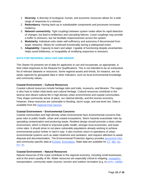- 1. **Diversity**: A diversity of ecological, human, and economic resources allows for a wide range of responses to a stressor.
- 2. **Redundancy**: Having back-up or substitutable components and processes increases resiliency.
- 3. **Network connectivity**: Tight couplings between system nodes allow for rapid detection of changes, but lead to brittleness and cascading failures. Loose couplings may provide a buffer to stressors, but not facilitate responsiveness across the system.
- 4. **Modularity**: Individual units retain self-sufficiency and autonomy if disconnected from larger networks. Allows for continued functionality during a widespread event.
- 5. **Adaptability**: Capacity to learn and adapt. Capable of functioning despite uncertainties. Helps avoid brittleness, or incapability of modifying responses to stressors.

# **DATA FOR REGIONAL ANALYSIS AND DESIGN**

This Starter Kit presents set of data for applicants to use and incorporate, as appropriate, in their initial responses to the Request for Qualifications. This is not intended to be an exhaustive list of relevant datasets or resources. Some regional assets and trends, for instance, are not easily captured by geospatial data or other indicators, such as local environmental knowledge and community values.

# **Coastal Environment – Cultural Resources**

Coastal cultural resources include heritage sites and trails, museums, and libraries. The region is also host to Indian tribal lands and cultural heritage. Cultural resources contribute to the diverse and vibrant cultural life in high-density urban environments and coastal communities. They shape community sense of place, our national identity, and the tourism economy. However, these resources are vulnerable to flooding, storm surge, and sea level rise. Data is available from the [National Park Service.](https://irma.nps.gov/App/Reference/Profile/2194483?lnv=true)

## **Coastal Environment – Environmental Concerns**

Coastal communities and high-density urban environments face environmental concerns that pose risks to public health, urban and coastal ecosystems. Storm hazards exacerbate risks by spreading contamination and producing waste. Resilient design should promote a clean urban environment, which is linked to improved public health, stronger local economies, and lower crime rates. It should strive to not place vulnerable populations already working to achieve environmental justice further in harm's way. It also involves return to operations of urban environmental systems such as water treatment and sanitation, and requires attention to waste disposal and decontamination. The Environmental Protection Agency provides [geospatial data](http://www.epa.gov/enviro/geo_data.html) and community-specific data at **[EJView](http://epamap14.epa.gov/ejmap/entry.html), [Envirofacts](http://www.epa.gov/enviro/)**. State data are available for [CT](http://magic.lib.uconn.edu/connecticut_data.html), [MD](http://imap.maryland.gov/Pages/default.aspx), [NJ](http://www.nj.gov/dep/gis/depsplash.htm), [NY](http://www.dec.ny.gov/geodata/), [RI](http://www.edc.uri.edu/rigis/data/all.aspx).

## **Coastal Environment – Natural Resources**

Natural resources of the coast contribute to the regional economy, including small businesses, and to the area's quality of life. Water resources are especially critical to shipping, [navigation](http://www.navigationdatacenter.us/gis/gis1.htm), transportation, community water sources, tourism and outdoor recreation (e.g. to parks, [wildlife](http://www.fws.gov/gis/data/national/index.html#NWRS%20BOUNDARY)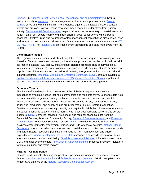[refuges,](http://www.fws.gov/gis/data/national/index.html#NWRS%20BOUNDARY) US [National Forest Service lands\)](http://fsgeodata.fs.fed.us/vector/lsrs.php), [recreational and commercial](http://www.st.nmfs.noaa.gov/st5/publication/fisheries_economics_2009.html) [fishing](http://nefsc.noaa.gov/read/socialsci/communitySnapshots.php). Natural resources such as [wetlands](http://www.fws.gov/wetlands/) provide ecosystem services that support resilience. [Coastal](http://www.fws.gov/CBRA/Maps/Mapper.html) [barriers](http://www.fws.gov/CBRA/Maps/Mapper.html) serve as the mainland's first line of defense against the impacts of severe coastal storms and erosion. However, these resources may already be under stress from human activity. [Environmental Sensitivity Index](http://response.restoration.noaa.gov/maps-and-spatial-data/environmental-sensitivity-index-esi-maps.html) maps provide a concise summary of coastal resources at risk if an oil spill occurs nearby (e.g. birds, shellfish beds, sensitive shorelines, public beaches). Effective urban and natural ecosystem management can enhance disaster resilience and reduce risk to coastal natural resources. State natural resources data are available for [CT,](http://magic.lib.uconn.edu/connecticut_data.html) [MD](http://www.dnr.state.md.us/gis/), [NJ,](http://www.nj.gov/dep/gis/depsplash.htm) [NY](http://www.dec.ny.gov/geodata/), [RI](http://www.edc.uri.edu/rigis/data/all.aspx). The [National Map](http://nationalmap.gov/) provides current topographic and base map layers from the USGS.

## **Demographic Trends**

The region contains a diverse and vibrant population. Resilience requires capitalizing on this diversity of human resources. However, vulnerable subpopulations may be particularly at risk in the face of disasters (e.g. elderly, impoverished, children, disabled, linguistically isolated, tourists, renters, homeless). Understanding demographic trends help us estimate demands on supply chains, infrastructure and the built environment, ecosystem services, and natural and cultural resources. [Decennial Census and American Community Survey](http://factfinder2.census.gov/faces/nav/jsf/pages/index.xhtml) data are available at [Spatial Trends in Coastal Socioeconomics \(STICS\).](http://coastalsocioeconomics.noaa.gov/) [Current Population Survey](http://thedataweb.rm.census.gov/ftp/cps_ftp.html) supplement data on [Civic health](http://www.volunteeringinamerica.gov/national) indicates volunteerism, political, and other civic engagement.

## **Economic Trends**

The Sandy-affected region is a cornerstone of the global marketplace. It is also host to thousands of small businesses that help communities and residents thrive. Economic data help us understand the regional economy's reliance on its infrastructure, marine and coastal resources. Achieving resilience means that critical economic assets, business operations, agricultural production, and supply chains are preserved or quickly restored to function. Resilience increases as the diversity, quantity, and equitable distribution of economic resources increases. Economic data can help us identify who is socioeconomically vulnerable to coastal disasters. [STICS](http://coastalsocioeconomics.noaa.gov/) compiles individual, household, and regional economic data from the Decennial Census, American Community Survey, [Bureau of Economic Analysis](http://www.bea.gov/regional/docs/noaa.cfm) and [Bureau of](http://www.bls.gov/data/) [Labor Statistics](http://www.bls.gov/data/) for Coastal Shoreline Counties. [ENOW](http://www.csc.noaa.gov/digitalcoast/data/enow) provides economic indicators on business establishments, employment, wages, and GDP for coastal counties. [National Ocean](http://www.oceaneconomics.org/default.aspx?AspxAutoDetectCookieSupport=1) [Economics](http://www.oceaneconomics.org/default.aspx?AspxAutoDetectCookieSupport=1) program provides data on ocean and coastal markets, tourism and recreation, ports and cargo, natural resources, population and housing, non-market values, and public expenditures. [Human Development Index for States](http://www.measureofamerica.org/maps/) provides a composite indicator of states' economic development and well-being. [Small Business Administration](http://www.sba.gov/category/navigation-structure/starting-managing-business/starting-business/establishing-business/b-1) links to business, trade, GDP, and other economic data. [Innovation in American Regions](http://www.statsamerica.org/innovation/index.html) presents innovation indicators for state, counties, and metro regions.

## **Hazards – Climate trends**

Climate trends indicate changing temperatures, precipitation, and extreme events. There are data on [Historical hurricane tracks](http://www.ncdc.noaa.gov/oa/ibtracs/index.php?name=gis-new) and [Federally declared disasters](https://explore.data.gov/Other/FEMA-Public-Assistance-Funded-Projects-Summary/btjd-2xvr). Historic precipitation and temperature data are at the [Natural Resources Conservation Service](http://datagateway.nrcs.usda.gov/GDGHome_StatusMaps.aspx).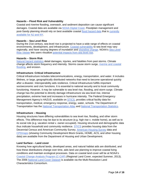## **Hazards – Flood Risk and Vulnerability**

Coastal and riverine flooding, overwash, and sediment deposition can cause significant damages. Coastal data are available via [NOAA Digital Coast](http://www.csc.noaa.gov/digitalcoast/). Floodplain management and post-Sandy planning should rely on best available coastal [flood hazard data](http://fema.maps.arcgis.com/home/webmap/viewer.html?webmap=2f0a884bfb434d76af8c15c26541a545) that is [currently](http://www.region2coastal.com/sandy/abfe) [available for NJ and NY.](http://www.region2coastal.com/sandy/abfe)

#### **Hazards – Sea Level Rise**

During the 21st century, sea-level rise is projected to have a wide range of effects on coastal environments, development, and infrastructure. [Coastal vulnerability](http://pubs.usgs.gov/dds/dds68/) to sea level may vary regionally, and have varying degrees of inundation and [shoreline change](http://pubs.usgs.gov/ds/601/). NOAA's [Sea Level](http://csc.noaa.gov/digitalcoast/tools/slrviewer) [Rise Viewer](http://csc.noaa.gov/digitalcoast/tools/slrviewer) lets users visualize [potential impacts from sea level rise](http://54.243.129.238/SLR.html).

#### **Hazards – Storm Risk**

[Natural hazard statistics](http://www.nws.noaa.gov/os/hazstats.shtml) detail damages, injuries, and fatalities from past storms. Climate change affects storm frequency and intensity. Storms cause storm surge, [riverine and coastal](http://wim.usgs.gov/FIMI/FloodInundationMapper.html) [flooding,](http://wim.usgs.gov/FIMI/FloodInundationMapper.html) and erosion.

#### **Infrastructure- Critical infrastructure**

Critical infrastructure includes telecommunications, energy, transportation, and water. It includes lifelines, or large, geographically distributed networks that need to become operational quickly after a disaster. Interoperability aids resilience. Critical infrastructure fulfills important socioeconomic and civic functions. It is essential to national security and to local community functioning. However, it may be vulnerable to sea level rise, flooding, and storm surge. Climate change has the potential to directly damage infrastructure via sea level rise, intense precipitation, extreme heat and increases in hurricane intensity. The Federal Emergency Management Agency's HAZUS, available on **[STICS](http://coastalsocioeconomics.noaa.gov/)**, provides critical facility data for: transportation, medical, emergency response, energy, water, schools. The Department of Transportation has the [National Transportation Atlas](http://www.rita.dot.gov/bts/sites/rita.dot.gov.bts/files/publications/national_transportation_atlas_database/2012/index.html) and [National Transportation Statistics](http://www.rita.dot.gov/bts/sites/rita.dot.gov.bts/files/publications/national_transportation_statistics/index.html).

#### **Infrastructure – Housing**

Housing structures have differing vulnerabilities to sea level rise, flooding, and other storm effects. This difference may be due to its structure (e.g. high rise v. mobile home), as well as to its social role (e.g. vacation rental v. owner-occupied). Housing structural and demographic data thus indicate household and community resilience. [STICS](http://coastalsocioeconomics.noaa.gov/) provides housing data from the Decennial Census and American Community Survey. [American Housing Survey](http://www.huduser.org/portal/datasets/ahs/ahsdata11.html) data and [CPDmaps](http://egis.hud.gov/cpdmaps/) (showing Community Development Block Grants, HOME, ACS, and other housing data) are available from the Department of Housing and Urban Development.

## **Land Surface – Land cover**

Knowing how agricultural lands, developed areas, and natural habitat aids are distributed, and how these distributions change over time, aids land use planning to improve coastal living conditions and maintain ecological processes. Data on coastal land cover will be at NOAA's [Coastal Change Analysis Program \(C-CAP\)](http://www.csc.noaa.gov/digitalcoast/data/ccapregional) (Regional Land Cover, expected Summer, 2013). The 2006 [National Land Cover Dataset](http://www.mrlc.gov/nlcd2006.php) is available via the Multi-Resolution Land Characteristics Consortium.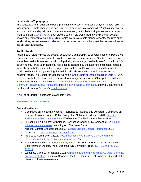# **Land surface-Topography**

The coastal zone, in addition to being proximal to the ocean, is a zone of dynamic, low-relief topography. Climate-change and sea-level rise amplify coastal communities' risks of inundation, erosion, sediment deposition, and salt water intrusion, particularly during major weather events. High-definition [LiDAR](http://csc.noaa.gov/htdata/lidar1_z/geoid12a/data/) (NOAA) data provide useful, real-world ground conditions for coastal design and risk estimation. [LiDAR](http://lidar.cr.usgs.gov/) (US Geological Survey) help planners identify features such as shoreline, assess elevation relative to hazard risks, and visualize post-disaster alterations to the physical landscape.

#### **Public Health**

Public health data indicate the coastal population's vulnerability to coastal disasters. People with chronic medical conditions were less able to evacuate during Hurricane Sandy. Disasters pose immediate health threats such as drowning during storm surge; health threats from mold or CO poisoning may arise later. Regional resilience is indicated by the absence of disaster-induced mortality or pathology, as well as by aggregate well-being. Design can be used to promote public health, such as by ensuring that neighborhoods are walkable and have access to healthful foods. The Center for Disease Control's [Snap Shots of State Population Data \(SNAPS\)](http://emergency.cdc.gov/snaps/) provides public health snapshots to be used for emergency response. Other public health data include the Center for Disease Control's [Behavioral Risk Factor Surveillance System,](http://www.cdc.gov/brfss/gis/gis_maps.htm) [Community Health Status Indicators,](http://wwwn.cdc.gov/CommunityHealth/homepage.aspx?j=1) and [Health Indicators Warehouse](http://healthindicators.gov/), and the Department of Health and Human Services's healthdata.gov.

A full list of Starter Kit datasets is available [here](http://portal.hud.gov/hudportal/documents/huddoc?id=StarterKitDatasets.xlsx).

## **REFERENCE DOCUMENTS**

#### **Coastal resilience**

- Committee on Increasing National Resilience to Hazards and Disasters; Committee on Science, Engineering, and Public Policy; The National Academies. 2012. [Disaster](http://www.nap.edu/catalog.php?record_id=13457) [Resilience: a National Imperative.](http://www.nap.edu/catalog.php?record_id=13457) Washington: The National Academies Press.
- H. John Heinz III Center for Science, Economics, and the Environment. 2002. [Human](https://adapt.nd.edu/resources/462/download/Human_Links_to_Coastal_Disasters.pdf) [links to coastal disasters](https://adapt.nd.edu/resources/462/download/Human_Links_to_Coastal_Disasters.pdf). Washington: The Heinz Center.
- National Climate Assessment. 2009. [National Climate Change.](http://nca2009.globalchange.gov/national-climate-change) [Northeast.](http://nca2009.globalchange.gov/northeast) 2012 Scenarios for [climate change,](http://scenarios.globalchange.gov/scenarios/climate) [sea level rise](http://scenarios.globalchange.gov/scenarios/sea-level).
- NYS 2100 Commission. 2013. [Recommendations to Improve the Strength and](http://www.governor.ny.gov/assets/documents/NYS2100.pdf) [Resilience of the Empire State's Infrastructure.](http://www.governor.ny.gov/assets/documents/NYS2100.pdf) NY.
- Renaud, Fabrice G. , Sudmeier-Rieux, Karen, and Marisol Estrella. 2013. *The Role of Ecosystems in Disaster Risk Reduction*. UN University Press. [ISBN-13: 978-92-808-](http://unu.edu/publications/books/the-role-of-ecosystems-in-disaster-risk-reduction.html#overview) [1221-3](http://unu.edu/publications/books/the-role-of-ecosystems-in-disaster-risk-reduction.html#overview).
- Wilbanks, I. and S. Fernandez. 2012. [Climate change and infrastructure, urban systems,](http://www.esd.ornl.gov/eess/Infrastructure.pdf) [and vulnerabilities.](http://www.esd.ornl.gov/eess/Infrastructure.pdf) Technical Report for the U.S. Department of Energy in Support of the National Climate Assessment.